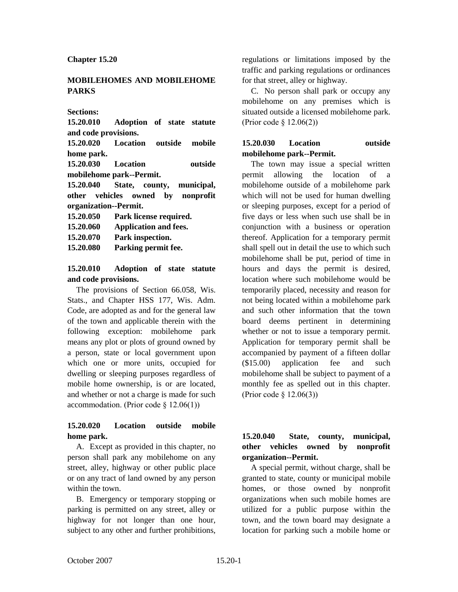#### **Chapter 15.20**

### **MOBILEHOMES AND MOBILEHOME PARKS**

#### **Sections:**

**15.20.010 Adoption of state statute and code provisions.**

**15.20.020 Location outside mobile home park.**

**15.20.030 Location outside mobilehome park--Permit.**

**15.20.040 State, county, municipal, other vehicles owned by nonprofit organization--Permit.**

**15.20.050 Park license required.**

**15.20.060 Application and fees.**

**15.20.070 Park inspection.**

**15.20.080 Parking permit fee.**

### **15.20.010 Adoption of state statute and code provisions.**

The provisions of Section 66.058, Wis. Stats., and Chapter HSS 177, Wis. Adm. Code, are adopted as and for the general law of the town and applicable therein with the following exception: mobilehome park means any plot or plots of ground owned by a person, state or local government upon which one or more units, occupied for dwelling or sleeping purposes regardless of mobile home ownership, is or are located, and whether or not a charge is made for such accommodation. (Prior code  $\S$  12.06(1))

# **15.20.020 Location outside mobile home park.**

A. Except as provided in this chapter, no person shall park any mobilehome on any street, alley, highway or other public place or on any tract of land owned by any person within the town.

B. Emergency or temporary stopping or parking is permitted on any street, alley or highway for not longer than one hour, subject to any other and further prohibitions, regulations or limitations imposed by the traffic and parking regulations or ordinances for that street, alley or highway.

C. No person shall park or occupy any mobilehome on any premises which is situated outside a licensed mobilehome park. (Prior code § 12.06(2))

# **15.20.030 Location outside mobilehome park--Permit.**

The town may issue a special written permit allowing the location of mobilehome outside of a mobilehome park which will not be used for human dwelling or sleeping purposes, except for a period of five days or less when such use shall be in conjunction with a business or operation thereof. Application for a temporary permit shall spell out in detail the use to which such mobilehome shall be put, period of time in hours and days the permit is desired, location where such mobilehome would be temporarily placed, necessity and reason for not being located within a mobilehome park and such other information that the town board deems pertinent in determining whether or not to issue a temporary permit. Application for temporary permit shall be accompanied by payment of a fifteen dollar (\$15.00) application fee and such mobilehome shall be subject to payment of a monthly fee as spelled out in this chapter. (Prior code § 12.06(3))

# **15.20.040 State, county, municipal, other vehicles owned by nonprofit organization--Permit.**

A special permit, without charge, shall be granted to state, county or municipal mobile homes, or those owned by nonprofit organizations when such mobile homes are utilized for a public purpose within the town, and the town board may designate a location for parking such a mobile home or